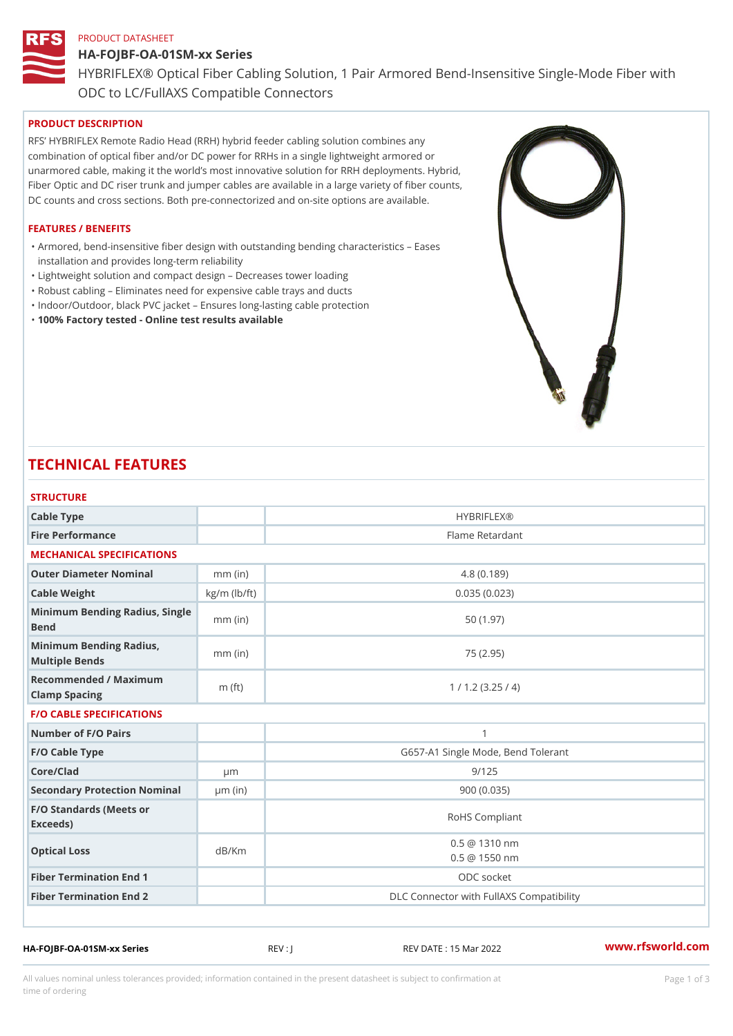### PRODUCT DATASHEET

# HA-FOJBF-OA-01SM-xx Series HYBRIFLEX® Optical Fiber Cabling Solution, 1 Pair Armored Bend-Inse ODC to LC/FullAXS Compatible Connectors

# PRODUCT DESCRIPTION

RFS HYBRIFLEX Remote Radio Head (RRH) hybrid feeder cabling solution combines any combination of optical fiber and/or DC power for RRHs in a single lightweight armored or unarmored cable, making it the world s most innovative solution for RRH deployments. Hybrid, Fiber Optic and DC riser trunk and jumper cables are available in a large variety of fiber counts, DC counts and cross sections. Both pre-connectorized and on-site options are available.

### FEATURES / BENEFITS

Armored, bend-insensitive fiber design with outstanding bending characteristics Eases " installation and provides long-term reliability

- "Lightweight solution and compact design Decreases tower loading
- "Robust cabling Eliminates need for expensive cable trays and ducts
- "Indoor/Outdoor, black PVC jacket Ensures long-lasting cable protection
- "100% Factory tested Online test results available

# TECHNICAL FEATURES

| <b>STRUCTURE</b>                                  |                    |                                                |
|---------------------------------------------------|--------------------|------------------------------------------------|
| Cable Type                                        |                    | <b>HYBRIFLEX®</b>                              |
| Fire Performance                                  |                    | Flame Retardant                                |
| MECHANICAL SPECIFICATIONS                         |                    |                                                |
| Outer Diameter Nominal                            | mm (in)            | 4.8(0.189)                                     |
| Cable Weight                                      | $kg/m$ ( $lb/ft$ ) | 0.035(0.023)                                   |
| Minimum Bending Radius, Single<br>Bend            |                    | 50 (1.97)                                      |
| Minimum Bending Radius, mm (in)<br>Multiple Bends |                    | 75 (2.95)                                      |
| Recommended / Maximum<br>Clamp Spacing            | $m$ (ft)           | 1 / 1.2 (3.25 / 4)                             |
| <b>F/O CABLE SPECIFICATIONS</b>                   |                    |                                                |
| Number of F/O Pairs                               |                    | $\mathbf{1}$                                   |
| F/O Cable Type                                    |                    | G657-A1 Single Mode, Bend Tolerant             |
| Core/Clad                                         | $\mu$ m            | 9/125                                          |
| Secondary Protection Nomimal(in)                  |                    | 900 (0.035)                                    |
| F/O Standards (Meets or<br>Exceeds)               |                    | RoHS Compliant                                 |
| Optical Loss                                      | dB/Km              | $0.5 \ @ \ 1310 \ nm$<br>$0.5 \ @ \ 1550 \ nm$ |
| Fiber Termination End                             |                    | ODC socket                                     |
| Fiber Termination End 2                           |                    | DLC Connector with FullAXS Compatibility       |

HA-FOJBF-OA-01SM-xx Series REV : J REV DATE : 15 Mar 2022 [www.](https://www.rfsworld.com)rfsworld.com

All values nominal unless tolerances provided; information contained in the present datasheet is subject to Pcapgeign mation time of ordering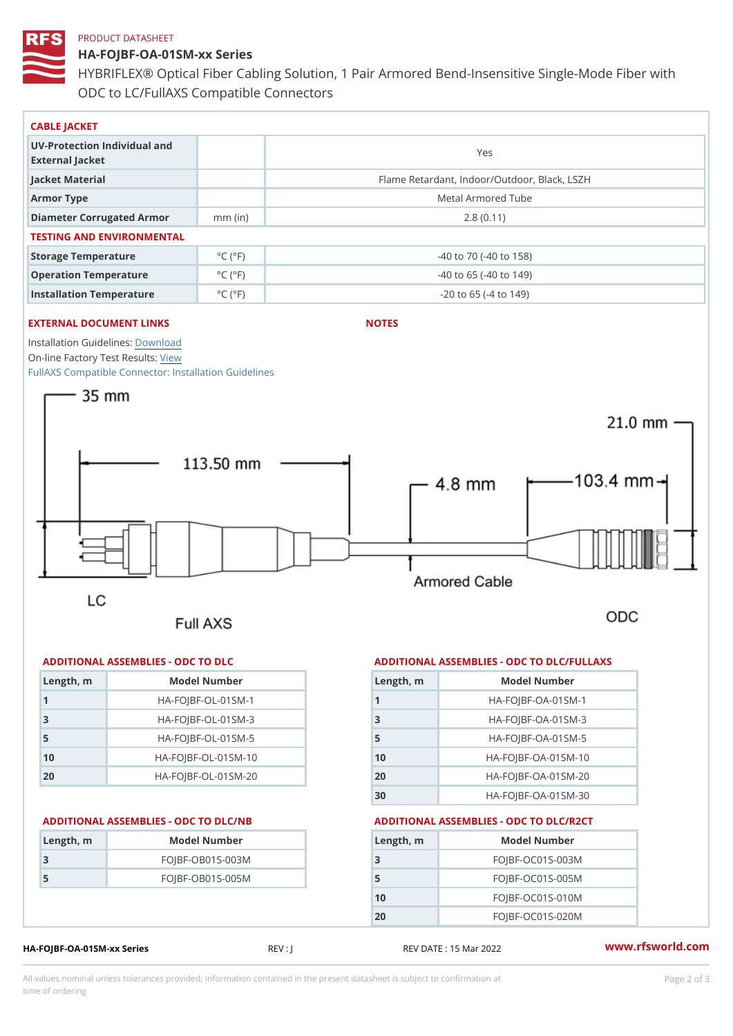### PRODUCT DATASHEET

HA-FOJBF-OA-01SM-xx Series HYBRIFLEX® Optical Fiber Cabling Solution, 1 Pair Armored Bend-Inse ODC to LC/FullAXS Compatible Connectors

| CABLE JACKET                                    |                             |                                              |  |
|-------------------------------------------------|-----------------------------|----------------------------------------------|--|
| UV-Protection Individual and<br>External Jacket |                             | Yes                                          |  |
| Jacket Material                                 |                             | Flame Retardant, Indoor/Outdoor, Black, LSZH |  |
| Armor Type                                      |                             | Metal Armored Tube                           |  |
| Diameter Corrugated Armomm (in)                 |                             | 2.8(0.11)                                    |  |
| TESTING AND ENVIRONMENTAL                       |                             |                                              |  |
| Storage Temperature                             | $^{\circ}$ C ( $^{\circ}$ F | $-40$ to $70$ ( $-40$ to $158$ )             |  |
| Operation Temperature                           | $^{\circ}$ C ( $^{\circ}$ F | $-40$ to 65 ( $-40$ to 149)                  |  |
| Installation Temperature                        | $^{\circ}$ C ( $^{\circ}$ F | $-20$ to 65 ( $-4$ to 149)                   |  |

### EXTERNAL DOCUMENT LINKS

NOTES

Installation Guidelwinessad

On-line Factory Te[s](https://www.rfsworld.com/pictures/userfiles/programs/AAST Latest Version.zip)teResults: [FullAXS Compatible Connector: Ins](https://www.rfsworld.com/images/hybriflex/hybriflex_fullaxs_compatible_install_guidelines_603400164_revb.pdf)tallation Guidelines

| Length, m      | Model Number                   |
|----------------|--------------------------------|
|                | $HA - FOJBF - OL - 01SM - 1$   |
| 3              | $HA - FOJBF - O L - 01SM - 3$  |
| 5              | $HA - FOJBF - O L - 01SM - 5$  |
| 1 <sub>0</sub> | $HA - FOJBF - O L - 01SM - 10$ |
| 20             | $HA-FOJBF-OL-01SM-20$          |

| Length, m | Model Number       |
|-----------|--------------------|
|           | $FOJBF-OBO1S-OO3M$ |
| 5         | $FOJBF-OBO1S-OO5M$ |
|           |                    |

## HA-FOJBF-OA-01SM-xx Series REV : J REV DATE : 15 Mar 2022 WWW.rfsworld.com

All values nominal unless tolerances provided; information contained in the present datasheet is subject to Pcapgelio an atio time of ordering

# ADDITIONAL ASSEMBLIES - ODC TO DLC ADDITIONAL ASSEMBLIES - ODC TO DLC/FULLAXS

| Length, m | Model Number                  |
|-----------|-------------------------------|
|           | $HA - FOJBF - OA - 01SM - 1$  |
| 3         | $HA - FOJBF - OA - 01SM - B$  |
| 5         | $HA - FOJBF - OA - 01SM - 5$  |
| 10        | HA-FOJBF-OA-01SM-10           |
| 20        | $HA - FOJBF - OA - 01SM - 20$ |
| 30        | HA-FOJBF-OA-01SM-30           |

# ADDITIONAL ASSEMBLIES - ODC TO DLC/NB ADDITIONAL ASSEMBLIES - ODC TO DLC/R2CT

| Length, m | Model Number       |
|-----------|--------------------|
| 3         | $FOJBF-OCO1S-OO3M$ |
| 5         | $FOJBF-OCO1S-OO5M$ |
| 10        | $FOJBF-OCO1S-010M$ |
| 20        | $FOJBF-OCO1S-020M$ |